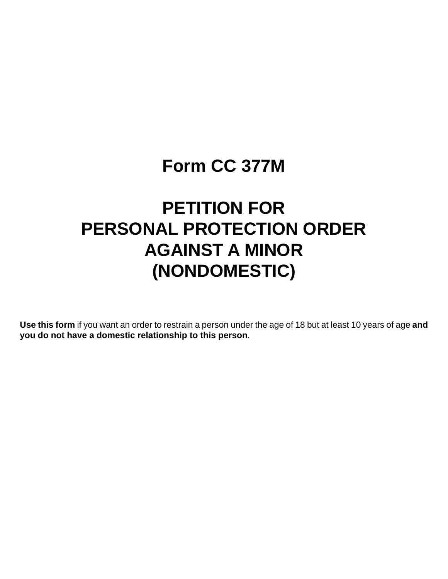# **Form CC 377M**

# **PETITION FOR PERSONAL PROTECTION ORDER AGAINST A MINOR (NONDOMESTIC)**

**Use this form** if you want an order to restrain a person under the age of 18 but at least 10 years of age **and you do not have a domestic relationship to this person**.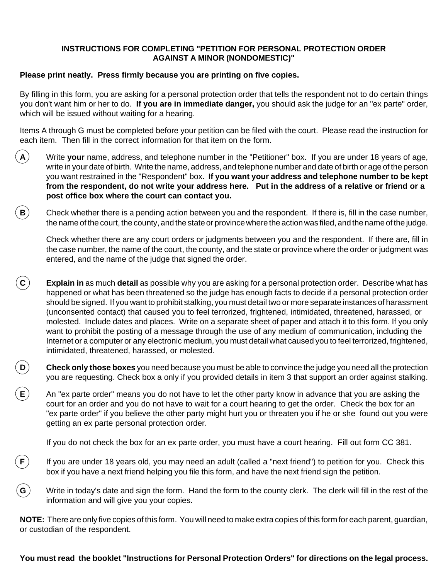## **INSTRUCTIONS FOR COMPLETING "PETITION FOR PERSONAL PROTECTION ORDER AGAINST A MINOR (NONDOMESTIC)"**

## **Please print neatly. Press firmly because you are printing on five copies.**

By filling in this form, you are asking for a personal protection order that tells the respondent not to do certain things you don't want him or her to do. **If you are in immediate danger,** you should ask the judge for an "ex parte" order, which will be issued without waiting for a hearing.

Items A through G must be completed before your petition can be filed with the court. Please read the instruction for each item. Then fill in the correct information for that item on the form.

- **A** Write **your** name, address, and telephone number in the "Petitioner" box. If you are under 18 years of age, write in your date of birth. Write the name, address, and telephone number and date of birth or age of the person you want restrained in the "Respondent" box. **If you want your address and telephone number to be kept from the respondent, do not write your address here. Put in the address of a relative or friend or a post office box where the court can contact you.**
- **B** Check whether there is a pending action between you and the respondent. If there is, fill in the case number, the name of the court, the county, and the state or province where the action was filed, and the name of the judge.

Check whether there are any court orders or judgments between you and the respondent. If there are, fill in the case number, the name of the court, the county, and the state or province where the order or judgment was entered, and the name of the judge that signed the order.

- **C Explain in** as much **detail** as possible why you are asking for a personal protection order. Describe what has happened or what has been threatened so the judge has enough facts to decide if a personal protection order should be signed. If you want to prohibit stalking, you must detail two or more separate instances of harassment (unconsented contact) that caused you to feel terrorized, frightened, intimidated, threatened, harassed, or molested. Include dates and places. Write on a separate sheet of paper and attach it to this form. If you only want to prohibit the posting of a message through the use of any medium of communication, including the Internet or a computer or any electronic medium, you must detail what caused you to feel terrorized, frightened, intimidated, threatened, harassed, or molested.
- **D**) Check only those boxes you need because you must be able to convince the judge you need all the protection you are requesting. Check box a only if you provided details in item 3 that support an order against stalking.
- **E**) An "ex parte order" means you do not have to let the other party know in advance that you are asking the court for an order and you do not have to wait for a court hearing to get the order. Check the box for an "ex parte order" if you believe the other party might hurt you or threaten you if he or she found out you were getting an ex parte personal protection order.

If you do not check the box for an ex parte order, you must have a court hearing. Fill out form CC 381.

- **F**) If you are under 18 years old, you may need an adult (called a "next friend") to petition for you. Check this box if you have a next friend helping you file this form, and have the next friend sign the petition.
- **G** Write in today's date and sign the form. Hand the form to the county clerk. The clerk will fill in the rest of the information and will give you your copies.

**NOTE:** There are only five copies of this form. You will need to make extra copies of this form for each parent, guardian, or custodian of the respondent.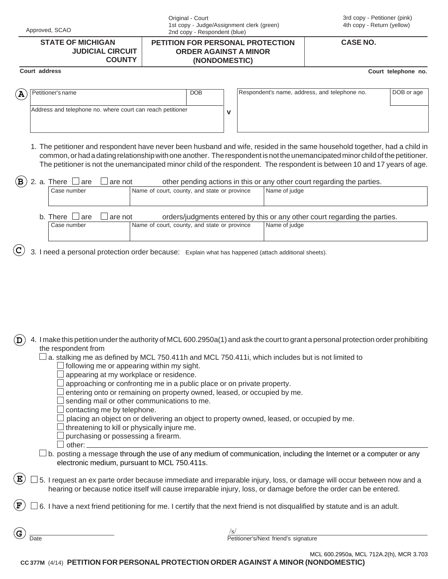| Approved, SCAO                                                                                                                                                    | Original - Court<br>1st copy - Judge/Assignment clerk (green)<br>2nd copy - Respondent (blue)                                                                                                                                                                                                                                                                                          |                                                                                          | 3rd copy - Petitioner (pink)<br>4th copy - Return (yellow)<br><b>CASE NO.</b> |                     |
|-------------------------------------------------------------------------------------------------------------------------------------------------------------------|----------------------------------------------------------------------------------------------------------------------------------------------------------------------------------------------------------------------------------------------------------------------------------------------------------------------------------------------------------------------------------------|------------------------------------------------------------------------------------------|-------------------------------------------------------------------------------|---------------------|
| <b>STATE OF MICHIGAN</b><br><b>JUDICIAL CIRCUIT</b><br><b>COUNTY</b>                                                                                              | PETITION FOR PERSONAL PROTECTION<br><b>ORDER AGAINST A MINOR</b><br>(NONDOMESTIC)                                                                                                                                                                                                                                                                                                      |                                                                                          |                                                                               |                     |
| Court address                                                                                                                                                     |                                                                                                                                                                                                                                                                                                                                                                                        |                                                                                          |                                                                               | Court telephone no. |
| Petitioner's name<br>$(\mathbf{A})$                                                                                                                               | <b>DOB</b>                                                                                                                                                                                                                                                                                                                                                                             | Respondent's name, address, and telephone no.                                            |                                                                               | DOB or age          |
| Address and telephone no. where court can reach petitioner                                                                                                        | v                                                                                                                                                                                                                                                                                                                                                                                      |                                                                                          |                                                                               |                     |
|                                                                                                                                                                   | 1. The petitioner and respondent have never been husband and wife, resided in the same household together, had a child in<br>common, or had a dating relationship with one another. The respondent is not the unemancipated minor child of the petitioner.<br>The petitioner is not the unemancipated minor child of the respondent. The respondent is between 10 and 17 years of age. |                                                                                          |                                                                               |                     |
| (B<br>2. a. There<br>are<br>are not<br>Case number                                                                                                                | Name of court, county, and state or province                                                                                                                                                                                                                                                                                                                                           | other pending actions in this or any other court regarding the parties.<br>Name of judge |                                                                               |                     |
| b. There<br>are<br>are not<br>Case number                                                                                                                         | orders/judgments entered by this or any other court regarding the parties.<br>Name of court, county, and state or province<br>Name of judge                                                                                                                                                                                                                                            |                                                                                          |                                                                               |                     |
| <sup>'</sup> D                                                                                                                                                    | 4. I make this petition under the authority of MCL 600.2950a(1) and ask the court to grant a personal protection order prohibiting                                                                                                                                                                                                                                                     |                                                                                          |                                                                               |                     |
| the respondent from<br>$\exists$ following me or appearing within my sight.<br>appearing at my workplace or residence.                                            | $\perp$ a. stalking me as defined by MCL 750.411h and MCL 750.411i, which includes but is not limited to<br>approaching or confronting me in a public place or on private property.                                                                                                                                                                                                    |                                                                                          |                                                                               |                     |
| sending mail or other communications to me.<br>contacting me by telephone.<br>threatening to kill or physically injure me.<br>purchasing or possessing a firearm. | entering onto or remaining on property owned, leased, or occupied by me.<br>placing an object on or delivering an object to property owned, leased, or occupied by me.                                                                                                                                                                                                                 |                                                                                          |                                                                               |                     |
| other:<br>electronic medium, pursuant to MCL 750.411s.                                                                                                            | $\exists$ b. posting a message through the use of any medium of communication, including the Internet or a computer or any                                                                                                                                                                                                                                                             |                                                                                          |                                                                               |                     |
| $\mathbf{E}$                                                                                                                                                      | 5. I request an ex parte order because immediate and irreparable injury, loss, or damage will occur between now and a<br>hearing or because notice itself will cause irreparable injury, loss, or damage before the order can be entered.                                                                                                                                              |                                                                                          |                                                                               |                     |
| $(\mathbf{F})$                                                                                                                                                    | 6. I have a next friend petitioning for me. I certify that the next friend is not disqualified by statute and is an adult.                                                                                                                                                                                                                                                             |                                                                                          |                                                                               |                     |
| $(\mathbf{G})$<br>Date                                                                                                                                            | /s/                                                                                                                                                                                                                                                                                                                                                                                    | Petitioner's/Next friend's signature                                                     |                                                                               |                     |
|                                                                                                                                                                   | CC 377M (4/14) PETITION FOR PERSONAL PROTECTION ORDER AGAINST A MINOR (NONDOMESTIC)                                                                                                                                                                                                                                                                                                    |                                                                                          | MCL 600.2950a, MCL 712A.2(h), MCR 3.703                                       |                     |